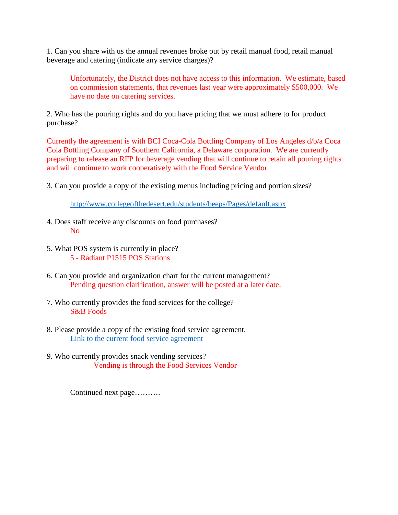1. Can you share with us the annual revenues broke out by retail manual food, retail manual beverage and catering (indicate any service charges)?

Unfortunately, the District does not have access to this information. We estimate, based on commission statements, that revenues last year were approximately \$500,000. We have no date on catering services.

2. Who has the pouring rights and do you have pricing that we must adhere to for product purchase?

Currently the agreement is with BCI Coca-Cola Bottling Company of Los Angeles d/b/a Coca Cola Bottling Company of Southern California, a Delaware corporation. We are currently preparing to release an RFP for beverage vending that will continue to retain all pouring rights and will continue to work cooperatively with the Food Service Vendor.

3. Can you provide a copy of the existing menus including pricing and portion sizes?

<http://www.collegeofthedesert.edu/students/beeps/Pages/default.aspx>

- 4. Does staff receive any discounts on food purchases? No
- 5. What POS system is currently in place? 5 - Radiant P1515 POS Stations
- 6. Can you provide and organization chart for the current management? Pending question clarification, answer will be posted at a later date.
- 7. Who currently provides the food services for the college? S&B Foods
- 8. Please provide a copy of the existing food service agreement. [Link to the current food service agreement](http://www.collegeofthedesert.edu/fs/fs/Contracts/Misc%20-%20Revenue%20Related/S%20and%20B%20Foods%20-%20Beeps%20Cafeteria%202004.pdf)
- 9. Who currently provides snack vending services? Vending is through the Food Services Vendor

Continued next page……….